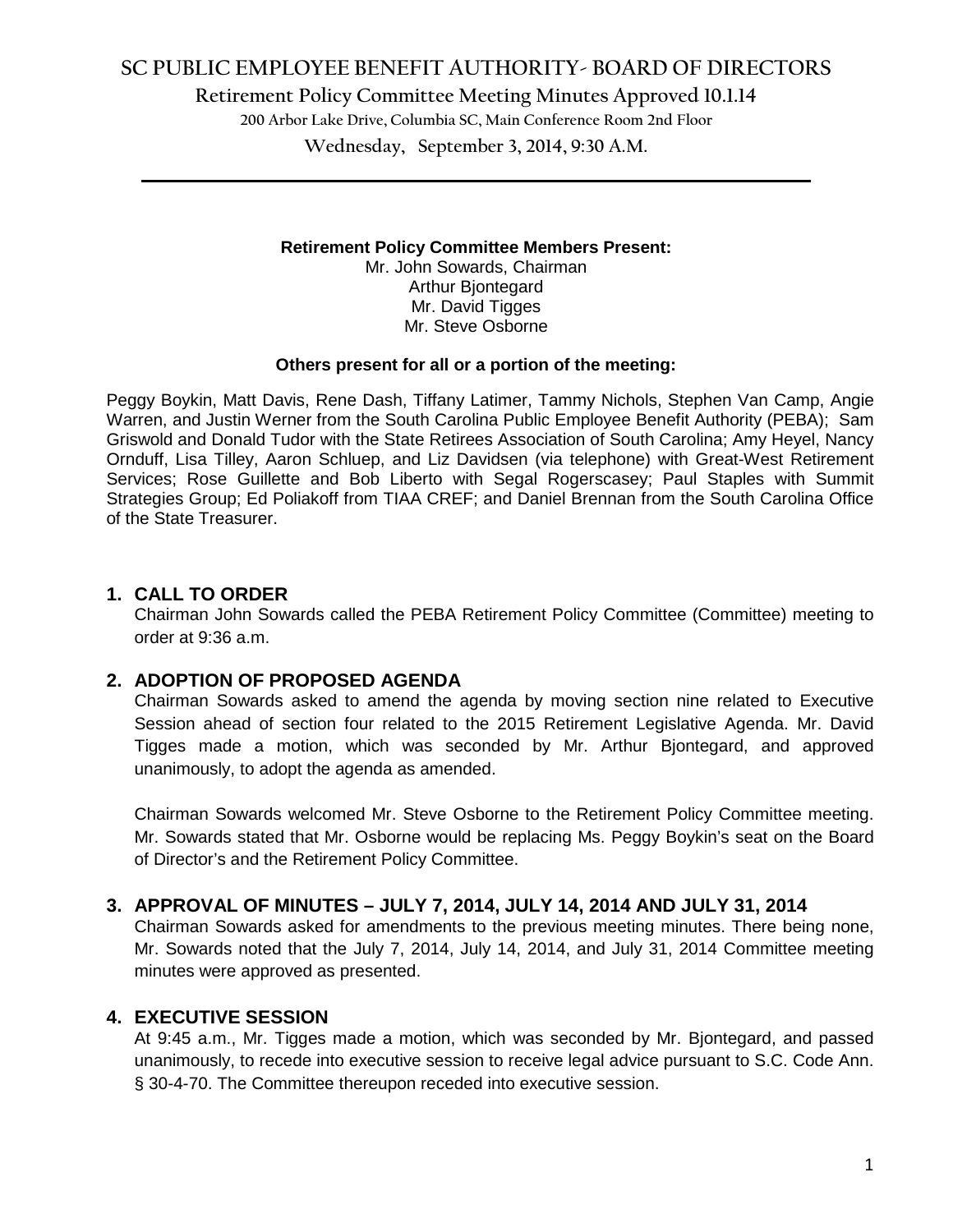# **SC PUBLIC EMPLOYEE BENEFIT AUTHORITY- BOARD OF DIRECTORS**

**Retirement Policy Committee Meeting Minutes Approved 10.1.14**

**200 Arbor Lake Drive, Columbia SC, Main Conference Room 2nd Floor**

**Wednesday, September 3, 2014, 9:30 A.M. \_\_\_\_\_\_\_\_\_\_\_\_\_\_\_\_\_\_\_\_\_\_\_\_\_\_\_\_\_\_\_\_\_\_\_\_\_\_\_\_\_\_\_\_\_\_\_\_\_\_\_\_\_\_\_\_\_\_\_\_\_\_\_\_\_\_\_\_\_\_\_\_**

### **Retirement Policy Committee Members Present:**

Mr. John Sowards, Chairman Arthur Bjontegard Mr. David Tigges Mr. Steve Osborne

### **Others present for all or a portion of the meeting:**

Peggy Boykin, Matt Davis, Rene Dash, Tiffany Latimer, Tammy Nichols, Stephen Van Camp, Angie Warren, and Justin Werner from the South Carolina Public Employee Benefit Authority (PEBA); Sam Griswold and Donald Tudor with the State Retirees Association of South Carolina; Amy Heyel, Nancy Ornduff, Lisa Tilley, Aaron Schluep, and Liz Davidsen (via telephone) with Great-West Retirement Services; Rose Guillette and Bob Liberto with Segal Rogerscasey; Paul Staples with Summit Strategies Group; Ed Poliakoff from TIAA CREF; and Daniel Brennan from the South Carolina Office of the State Treasurer.

## **1. CALL TO ORDER**

Chairman John Sowards called the PEBA Retirement Policy Committee (Committee) meeting to order at 9:36 a.m.

## **2. ADOPTION OF PROPOSED AGENDA**

Chairman Sowards asked to amend the agenda by moving section nine related to Executive Session ahead of section four related to the 2015 Retirement Legislative Agenda. Mr. David Tigges made a motion, which was seconded by Mr. Arthur Bjontegard, and approved unanimously, to adopt the agenda as amended.

Chairman Sowards welcomed Mr. Steve Osborne to the Retirement Policy Committee meeting. Mr. Sowards stated that Mr. Osborne would be replacing Ms. Peggy Boykin's seat on the Board of Director's and the Retirement Policy Committee.

## **3. APPROVAL OF MINUTES – JULY 7, 2014, JULY 14, 2014 AND JULY 31, 2014**

Chairman Sowards asked for amendments to the previous meeting minutes. There being none, Mr. Sowards noted that the July 7, 2014, July 14, 2014, and July 31, 2014 Committee meeting minutes were approved as presented.

## **4. EXECUTIVE SESSION**

At 9:45 a.m., Mr. Tigges made a motion, which was seconded by Mr. Bjontegard, and passed unanimously, to recede into executive session to receive legal advice pursuant to S.C. Code Ann. § 30-4-70. The Committee thereupon receded into executive session.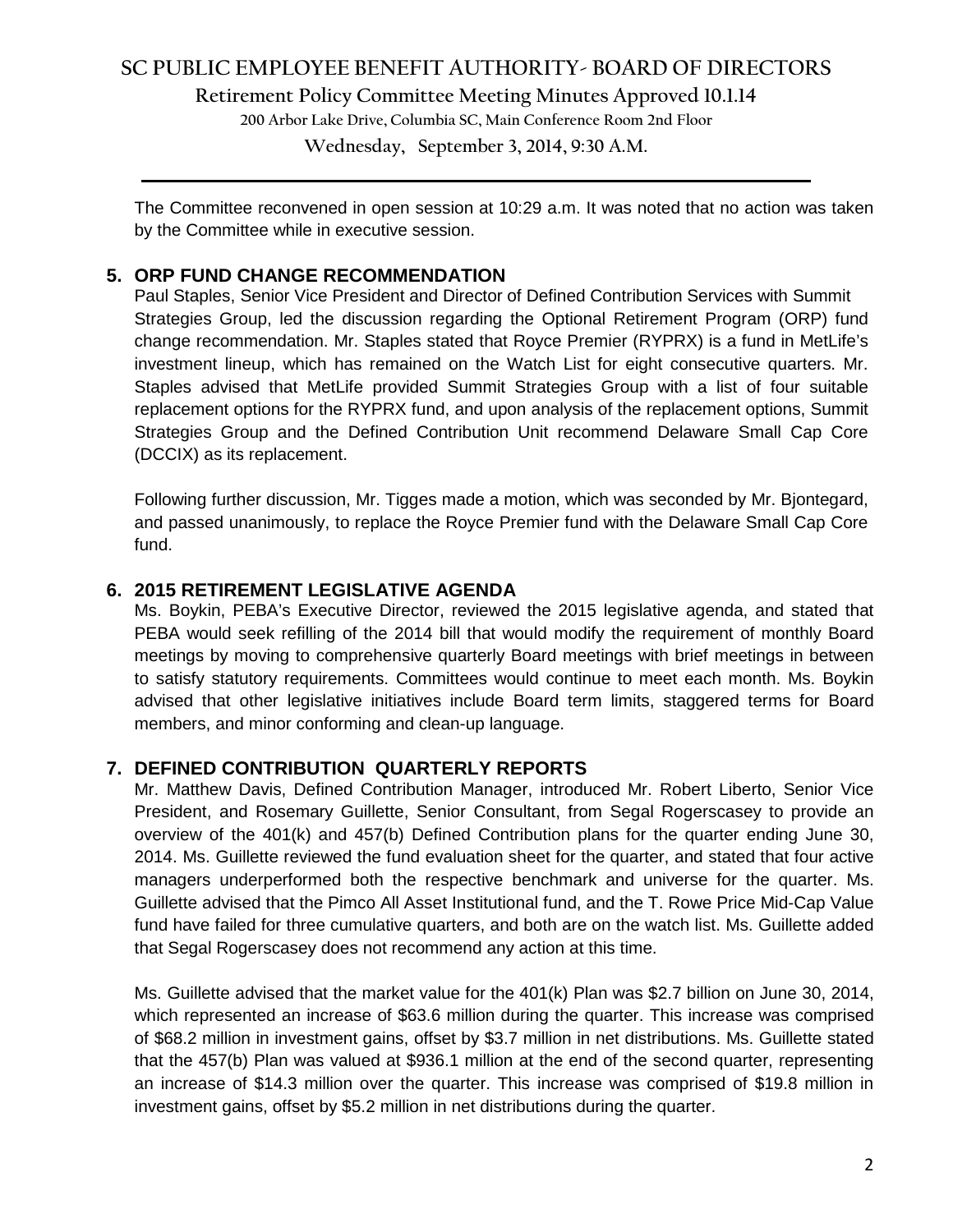# **SC PUBLIC EMPLOYEE BENEFIT AUTHORITY- BOARD OF DIRECTORS**

**Retirement Policy Committee Meeting Minutes Approved 10.1.14**

**200 Arbor Lake Drive, Columbia SC, Main Conference Room 2nd Floor**

**Wednesday, September 3, 2014, 9:30 A.M. \_\_\_\_\_\_\_\_\_\_\_\_\_\_\_\_\_\_\_\_\_\_\_\_\_\_\_\_\_\_\_\_\_\_\_\_\_\_\_\_\_\_\_\_\_\_\_\_\_\_\_\_\_\_\_\_\_\_\_\_\_\_\_\_\_\_\_\_\_\_\_\_**

The Committee reconvened in open session at 10:29 a.m. It was noted that no action was taken by the Committee while in executive session.

## **5. ORP FUND CHANGE RECOMMENDATION**

Paul Staples, Senior Vice President and Director of Defined Contribution Services with Summit Strategies Group, led the discussion regarding the Optional Retirement Program (ORP) fund change recommendation. Mr. Staples stated that Royce Premier (RYPRX) is a fund in MetLife's investment lineup, which has remained on the Watch List for eight consecutive quarters. Mr. Staples advised that MetLife provided Summit Strategies Group with a list of four suitable replacement options for the RYPRX fund, and upon analysis of the replacement options, Summit Strategies Group and the Defined Contribution Unit recommend Delaware Small Cap Core (DCCIX) as its replacement.

Following further discussion, Mr. Tigges made a motion, which was seconded by Mr. Bjontegard, and passed unanimously, to replace the Royce Premier fund with the Delaware Small Cap Core fund.

## **6. 2015 RETIREMENT LEGISLATIVE AGENDA**

Ms. Boykin, PEBA's Executive Director, reviewed the 2015 legislative agenda, and stated that PEBA would seek refilling of the 2014 bill that would modify the requirement of monthly Board meetings by moving to comprehensive quarterly Board meetings with brief meetings in between to satisfy statutory requirements. Committees would continue to meet each month. Ms. Boykin advised that other legislative initiatives include Board term limits, staggered terms for Board members, and minor conforming and clean-up language.

## **7. DEFINED CONTRIBUTION QUARTERLY REPORTS**

Mr. Matthew Davis, Defined Contribution Manager, introduced Mr. Robert Liberto, Senior Vice President, and Rosemary Guillette, Senior Consultant, from Segal Rogerscasey to provide an overview of the 401(k) and 457(b) Defined Contribution plans for the quarter ending June 30, 2014. Ms. Guillette reviewed the fund evaluation sheet for the quarter, and stated that four active managers underperformed both the respective benchmark and universe for the quarter. Ms. Guillette advised that the Pimco All Asset Institutional fund, and the T. Rowe Price Mid-Cap Value fund have failed for three cumulative quarters, and both are on the watch list. Ms. Guillette added that Segal Rogerscasey does not recommend any action at this time.

Ms. Guillette advised that the market value for the 401(k) Plan was \$2.7 billion on June 30, 2014, which represented an increase of \$63.6 million during the quarter. This increase was comprised of \$68.2 million in investment gains, offset by \$3.7 million in net distributions. Ms. Guillette stated that the 457(b) Plan was valued at \$936.1 million at the end of the second quarter, representing an increase of \$14.3 million over the quarter. This increase was comprised of \$19.8 million in investment gains, offset by \$5.2 million in net distributions during the quarter.